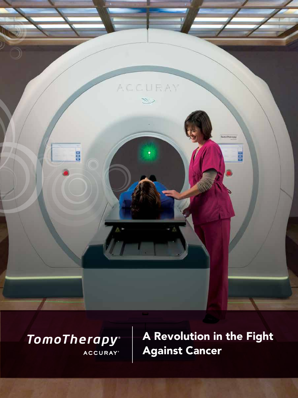**TomoTherapy®** ACCURAY®

000

A Revolution in the Fight Against Cancer

TomoTherapy

Boo

ACCURAY

P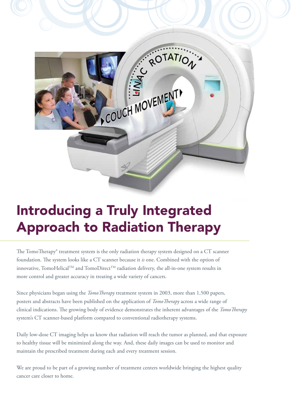

# Introducing a Truly Integrated Approach to Radiation Therapy

The TomoTherapy® treatment system is the only radiation therapy system designed on a CT scanner foundation. The system looks like a CT scanner because it *is* one. Combined with the option of innovative, TomoHelical<sup>TM</sup> and TomoDirect<sup>TM</sup> radiation delivery, the all-in-one system results in more control and greater accuracy in treating a wide variety of cancers.

Since physicians began using the *TomoTherapy* treatment system in 2003, more than 1,500 papers, posters and abstracts have been published on the application of *TomoTherapy* across a wide range of clinical indications. The growing body of evidence demonstrates the inherent advantages of the *TomoTherapy* system's CT scanner-based platform compared to conventional radiotherapy systems.

Daily low-dose CT imaging helps us know that radiation will reach the tumor as planned, and that exposure to healthy tissue will be minimized along the way. And, these daily images can be used to monitor and maintain the prescribed treatment during each and every treatment session.

We are proud to be part of a growing number of treatment centers worldwide bringing the highest quality cancer care closer to home.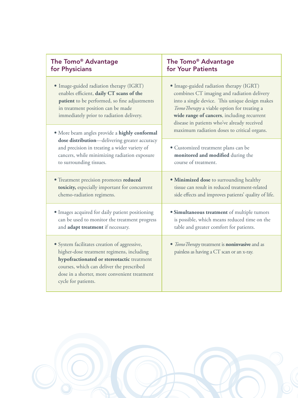| The Tomo <sup>®</sup> Advantage<br>for Physicians                                                                                                                                                                                                           | The Tomo <sup>®</sup> Advantage<br>for Your Patients                                                                                                                                                                                                                                                                               |
|-------------------------------------------------------------------------------------------------------------------------------------------------------------------------------------------------------------------------------------------------------------|------------------------------------------------------------------------------------------------------------------------------------------------------------------------------------------------------------------------------------------------------------------------------------------------------------------------------------|
| · Image-guided radiation therapy (IGRT)<br>enables efficient, daily CT scans of the<br>patient to be performed, so fine adjustments<br>in treatment position can be made<br>immediately prior to radiation delivery.                                        | · Image-guided radiation therapy (IGRT)<br>combines CT imaging and radiation delivery<br>into a single device. This unique design makes<br>Tomo Therapy a viable option for treating a<br>wide range of cancers, including recurrent<br>disease in patients who've already received<br>maximum radiation doses to critical organs. |
| · More beam angles provide a highly conformal<br>dose distribution-delivering greater accuracy<br>and precision in treating a wider variety of<br>cancers, while minimizing radiation exposure<br>to surrounding tissues.                                   |                                                                                                                                                                                                                                                                                                                                    |
|                                                                                                                                                                                                                                                             | · Customized treatment plans can be<br>monitored and modified during the<br>course of treatment.                                                                                                                                                                                                                                   |
| • Treatment precision promotes reduced<br>toxicity, especially important for concurrent<br>chemo-radiation regimens.                                                                                                                                        | • Minimized dose to surrounding healthy<br>tissue can result in reduced treatment-related<br>side effects and improves patients' quality of life.                                                                                                                                                                                  |
| • Images acquired for daily patient positioning<br>can be used to monitor the treatment progress<br>and adapt treatment if necessary.                                                                                                                       | · Simultaneous treatment of multiple tumors<br>is possible, which means reduced time on the<br>table and greater comfort for patients.                                                                                                                                                                                             |
| • System facilitates creation of aggressive,<br>higher-dose treatment regimens, including<br>hypofractionated or stereotactic treatment<br>courses, which can deliver the prescribed<br>dose in a shorter, more convenient treatment<br>cycle for patients. | • Tomo Therapy treatment is noninvasive and as<br>painless as having a CT scan or an x-ray.                                                                                                                                                                                                                                        |

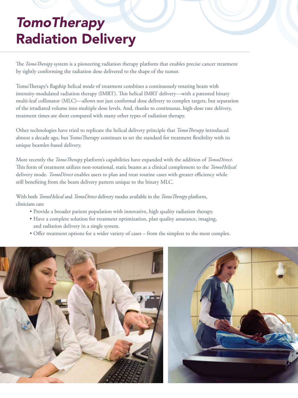# *TomoTherapy* Radiation Delivery

The *TomoTherapy* system is a pioneering radiation therapy platform that enables precise cancer treatment by tightly conforming the radiation dose delivered to the shape of the tumor.

TomoTherapy's flagship helical mode of treatment combines a continuously rotating beam with intensity-modulated radiation therapy (IMRT). This helical IMRT delivery—with a patented binary multi-leaf collimator (MLC)—allows not just conformal dose delivery to complex targets, but separation of the irradiated volume into multiple dose levels. And, thanks to continuous, high-dose rate delivery, treatment times are short compared with many other types of radiation therapy.

Other technologies have tried to replicate the helical delivery principle that *TomoTherapy* introduced almost a decade ago, but TomoTherapy continues to set the standard for treatment flexibility with its unique beamlet-based delivery.

More recently the *TomoTherapy* platform's capabilities have expanded with the addition of *TomoDirect*. This form of treatment utilizes non-rotational, static beams as a clinical complement to the *TomoHelical* delivery mode. *TomoDirect* enables users to plan and treat routine cases with greater efficiency while still benefiting from the beam delivery pattern unique to the binary MLC.

With both *TomoHelical* and *TomoDirect* delivery modes available in the *TomoTherapy* platform, clinicians can:

- Provide a broader patient population with innovative, high quality radiation therapy.
- Have a complete solution for treatment optimization, plan quality assurance, imaging, and radiation delivery in a single system.
- Offer treatment options for a wider variety of cases from the simplest to the most complex.

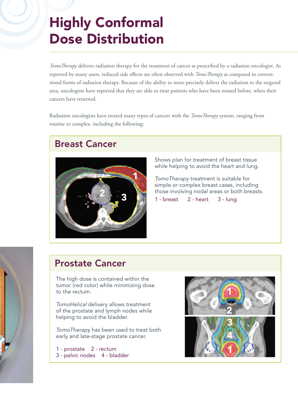# Highly Conformal Dose Distribution

*TomoTherapy* delivers radiation therapy for the treatment of cancer as prescribed by a radiation oncologist. As reported by many users, reduced side effects are often observed with *TomoTherapy* as compared to conventional forms of radiation therapy. Because of the ability to more precisely deliver the radiation to the targeted area, oncologists have reported that they are able to treat patients who have been treated before, when their cancers have returned.

Radiation oncologists have treated many types of cancers with the *TomoTherapy* system, ranging from routine to complex, including the following:

## Breast Cancer



Shows plan for treatment of breast tissue while helping to avoid the heart and lung.

*TomoTherapy* treatment is suitable for simple or complex breast cases, including those involving nodal areas or both breasts.

1 - breast 2 - heart 3 - lung

## Prostate Cancer

The high dose is contained within the tumor (red color) while minimizing dose to the rectum.

*TomoHelical* delivery allows treatment of the prostate and lymph nodes while helping to avoid the bladder.

*TomoTherapy* has been used to treat both early and late-stage prostate cancer.

1 - prostate 2 - rectum 3 - pelvic nodes 4 - bladder

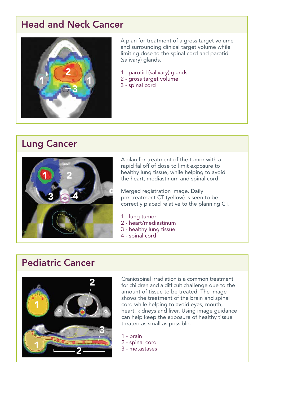## Head and Neck Cancer



A plan for treatment of a gross target volume and surrounding clinical target volume while limiting dose to the spinal cord and parotid (salivary) glands.

- 1 parotid (salivary) glands
- 
- 

### Lung Cancer



A plan for treatment of the tumor with a rapid falloff of dose to limit exposure to healthy lung tissue, while helping to avoid the heart, mediastinum and spinal cord.

Merged registration image. Daily pre-treatment CT (yellow) is seen to be correctly placed relative to the planning CT.

- 1 lung tumor
- 2 heart/mediastinum
- 3 healthy lung tissue
- 4 spinal cord

### Pediatric Cancer



Craniospinal irradiation is a common treatment for children and a difficult challenge due to the amount of tissue to be treated. The image shows the treatment of the brain and spinal cord while helping to avoid eyes, mouth, heart, kidneys and liver. Using image guidance can help keep the exposure of healthy tissue treated as small as possible.

1 - brain 2 - spinal cord

3 - metastases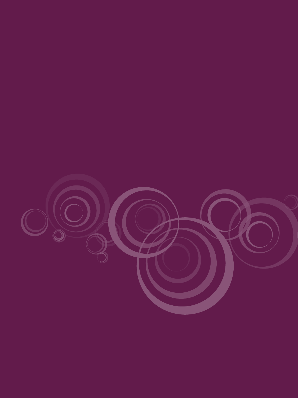